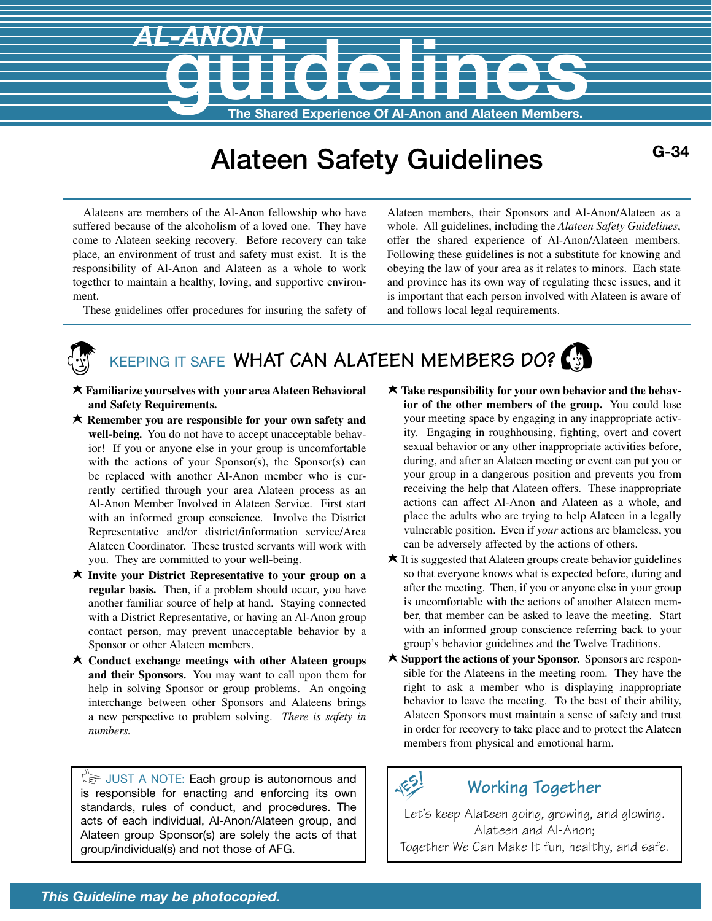# **AL-ANON<br>The Shared Experience Of Al-Anon and Alateen Members.**

# Alateen Safety Guidelines **G-34**

Alateens are members of the Al-Anon fellowship who have suffered because of the alcoholism of a loved one. They have come to Alateen seeking recovery. Before recovery can take place, an environment of trust and safety must exist. It is the responsibility of Al-Anon and Alateen as a whole to work together to maintain a healthy, loving, and supportive environ-

These guidelines offer procedures for insuring the safety of

ment.

Alateen members, their Sponsors and Al-Anon/Alateen as a whole. All guidelines, including the *Alateen Safety Guidelines*, offer the shared experience of Al-Anon/Alateen members. Following these guidelines is not a substitute for knowing and obeying the law of your area as it relates to minors. Each state and province has its own way of regulating these issues, and it is important that each person involved with Alateen is aware of and follows local legal requirements.

# KEEPING IT SAFE WHAT CAN ALATEEN MEMBERS DO?

- L **Familiarize yourselves with your area Alateen Behavioral and Safety Requirements.**
- L **Remember you are responsible for your own safety and well-being.** You do not have to accept unacceptable behavior! If you or anyone else in your group is uncomfortable with the actions of your Sponsor(s), the Sponsor(s) can be replaced with another Al-Anon member who is currently certified through your area Alateen process as an Al-Anon Member Involved in Alateen Service. First start with an informed group conscience. Involve the District Representative and/or district/information service/Area Alateen Coordinator. These trusted servants will work with you. They are committed to your well-being.
- L **Invite your District Representative to your group on a regular basis.** Then, if a problem should occur, you have another familiar source of help at hand. Staying connected with a District Representative, or having an Al-Anon group contact person, may prevent unacceptable behavior by a Sponsor or other Alateen members.
- **★ Conduct exchange meetings with other Alateen groups and their Sponsors.** You may want to call upon them for help in solving Sponsor or group problems. An ongoing interchange between other Sponsors and Alateens brings a new perspective to problem solving. *There is safety in numbers.*

 $\sqrt[3]{s}$  JUST A NOTE: Each group is autonomous and is responsible for enacting and enforcing its own standards, rules of conduct, and procedures. The acts of each individual, Al-Anon/Alateen group, and Alateen group Sponsor(s) are solely the acts of that group/individual(s) and not those of AFG.

- $\star$  **Take responsibility for your own behavior and the behavior of the other members of the group.** You could lose your meeting space by engaging in any inappropriate activity. Engaging in roughhousing, fighting, overt and covert sexual behavior or any other inappropriate activities before, during, and after an Alateen meeting or event can put you or your group in a dangerous position and prevents you from receiving the help that Alateen offers. These inappropriate actions can affect Al-Anon and Alateen as a whole, and place the adults who are trying to help Alateen in a legally vulnerable position. Even if *your* actions are blameless, you can be adversely affected by the actions of others.
- $\star$  It is suggested that Alateen groups create behavior guidelines so that everyone knows what is expected before, during and after the meeting. Then, if you or anyone else in your group is uncomfortable with the actions of another Alateen member, that member can be asked to leave the meeting. Start with an informed group conscience referring back to your group's behavior guidelines and the Twelve Traditions.
- **★ Support the actions of your Sponsor.** Sponsors are responsible for the Alateens in the meeting room. They have the right to ask a member who is displaying inappropriate behavior to leave the meeting. To the best of their ability, Alateen Sponsors must maintain a sense of safety and trust in order for recovery to take place and to protect the Alateen members from physical and emotional harm.

185

### **Working Together**

Let's keep Alateen going, growing, and glowing. Alateen and Al-Anon; Together We Can Make It fun, healthy, and safe.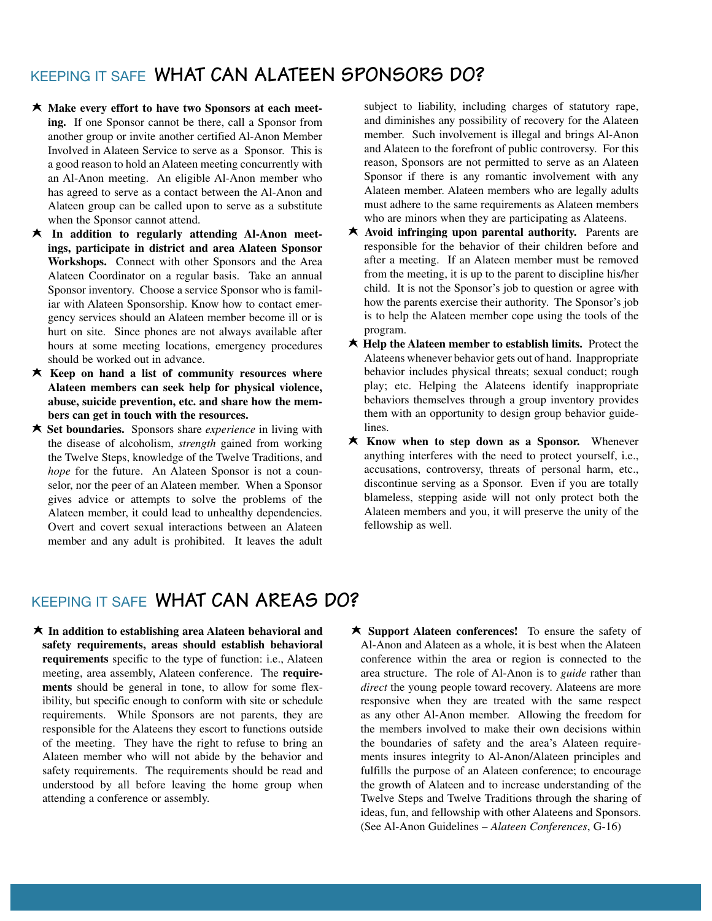### KEEPING IT SAFE **WHAT CAN ALATEEN SPONSORS DO?**

- **★ Make every effort to have two Sponsors at each meeting.** If one Sponsor cannot be there, call a Sponsor from another group or invite another certified Al-Anon Member Involved in Alateen Service to serve as a Sponsor. This is a good reason to hold an Alateen meeting concurrently with an Al-Anon meeting. An eligible Al-Anon member who has agreed to serve as a contact between the Al-Anon and Alateen group can be called upon to serve as a substitute when the Sponsor cannot attend.
- **★** In addition to regularly attending Al-Anon meet**ings, participate in district and area Alateen Sponsor Workshops.** Connect with other Sponsors and the Area Alateen Coordinator on a regular basis. Take an annual Sponsor inventory. Choose a service Sponsor who is familiar with Alateen Sponsorship. Know how to contact emergency services should an Alateen member become ill or is hurt on site. Since phones are not always available after hours at some meeting locations, emergency procedures should be worked out in advance.
- $\star$  Keep on hand a list of community resources where **Alateen members can seek help for physical violence, abuse, suicide prevention, etc. and share how the members can get in touch with the resources.**
- **★ Set boundaries.** Sponsors share *experience* in living with the disease of alcoholism, *strength* gained from working the Twelve Steps, knowledge of the Twelve Traditions, and *hope* for the future. An Alateen Sponsor is not a counselor, nor the peer of an Alateen member. When a Sponsor gives advice or attempts to solve the problems of the Alateen member, it could lead to unhealthy dependencies. Overt and covert sexual interactions between an Alateen member and any adult is prohibited. It leaves the adult

subject to liability, including charges of statutory rape, and diminishes any possibility of recovery for the Alateen member. Such involvement is illegal and brings Al-Anon and Alateen to the forefront of public controversy. For this reason, Sponsors are not permitted to serve as an Alateen Sponsor if there is any romantic involvement with any Alateen member. Alateen members who are legally adults must adhere to the same requirements as Alateen members who are minors when they are participating as Alateens.

- **★** Avoid infringing upon parental authority. Parents are responsible for the behavior of their children before and after a meeting. If an Alateen member must be removed from the meeting, it is up to the parent to discipline his/her child. It is not the Sponsor's job to question or agree with how the parents exercise their authority. The Sponsor's job is to help the Alateen member cope using the tools of the program.
- **★ Help the Alateen member to establish limits.** Protect the Alateens whenever behavior gets out of hand. Inappropriate behavior includes physical threats; sexual conduct; rough play; etc. Helping the Alateens identify inappropriate behaviors themselves through a group inventory provides them with an opportunity to design group behavior guidelines.
- **★ Know when to step down as a Sponsor.** Whenever anything interferes with the need to protect yourself, i.e., accusations, controversy, threats of personal harm, etc., discontinue serving as a Sponsor. Even if you are totally blameless, stepping aside will not only protect both the Alateen members and you, it will preserve the unity of the fellowship as well.

## KEEPING IT SAFE **WHAT CAN AREAS DO?**

- $\star$  In addition to establishing area Alateen behavioral and **safety requirements, areas should establish behavioral requirements** specific to the type of function: i.e., Alateen meeting, area assembly, Alateen conference. The **requirements** should be general in tone, to allow for some flexibility, but specific enough to conform with site or schedule requirements. While Sponsors are not parents, they are responsible for the Alateens they escort to functions outside of the meeting. They have the right to refuse to bring an Alateen member who will not abide by the behavior and safety requirements. The requirements should be read and understood by all before leaving the home group when attending a conference or assembly.
- **★ Support Alateen conferences!** To ensure the safety of Al-Anon and Alateen as a whole, it is best when the Alateen conference within the area or region is connected to the area structure. The role of Al-Anon is to *guide* rather than *direct* the young people toward recovery. Alateens are more responsive when they are treated with the same respect as any other Al-Anon member. Allowing the freedom for the members involved to make their own decisions within the boundaries of safety and the area's Alateen requirements insures integrity to Al-Anon/Alateen principles and fulfills the purpose of an Alateen conference; to encourage the growth of Alateen and to increase understanding of the Twelve Steps and Twelve Traditions through the sharing of ideas, fun, and fellowship with other Alateens and Sponsors. (See Al-Anon Guidelines – *Alateen Conferences*, G-16)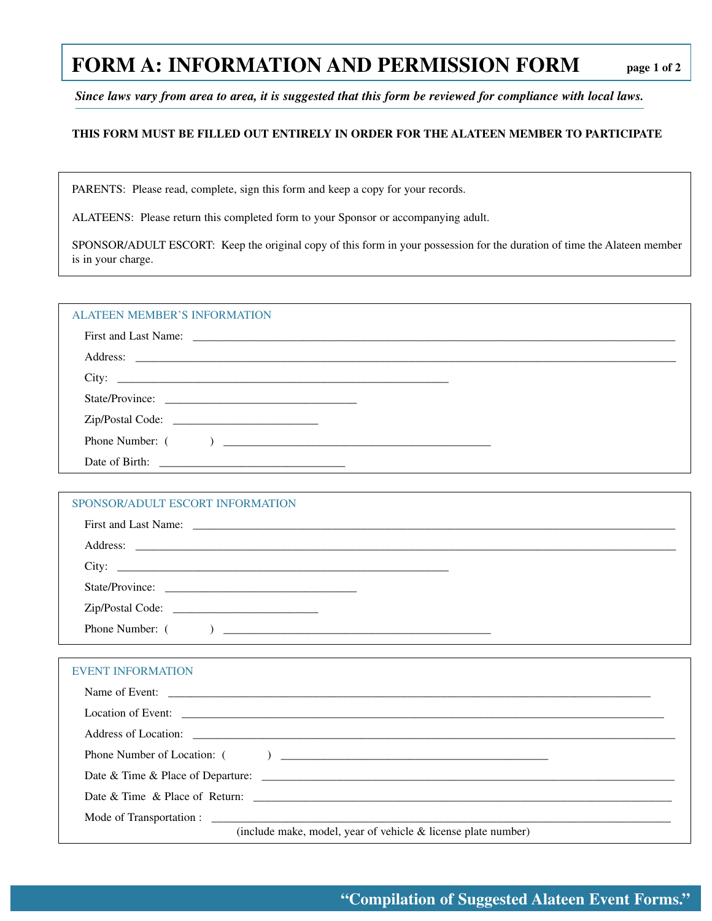# **FORM A: INFORMATION AND PERMISSION FORM**

*Since laws vary from area to area, it is suggested that this form be reviewed for compliance with local laws.*

### **THIS FORM MUST BE FILLED OUT ENTIRELY IN ORDER FOR THE ALATEEN MEMBER TO PARTICIPATE**

PARENTS: Please read, complete, sign this form and keep a copy for your records.

ALATEENS: Please return this completed form to your Sponsor or accompanying adult.

SPONSOR/ADULT ESCORT: Keep the original copy of this form in your possession for the duration of time the Alateen member is in your charge.

| <b>ALATEEN MEMBER'S INFORMATION</b> |  |  |  |  |  |
|-------------------------------------|--|--|--|--|--|
|-------------------------------------|--|--|--|--|--|

### SPONSOR/ADULT ESCORT INFORMATION

| City: |
|-------|
|       |
|       |
|       |

### EVENT INFORMATION

| Name of Event:                                                  |
|-----------------------------------------------------------------|
|                                                                 |
|                                                                 |
|                                                                 |
| Date & Time & Place of Departure: $\Box$                        |
| Date & Time & Place of Return:                                  |
|                                                                 |
| (include make, model, year of vehicle $&$ license plate number) |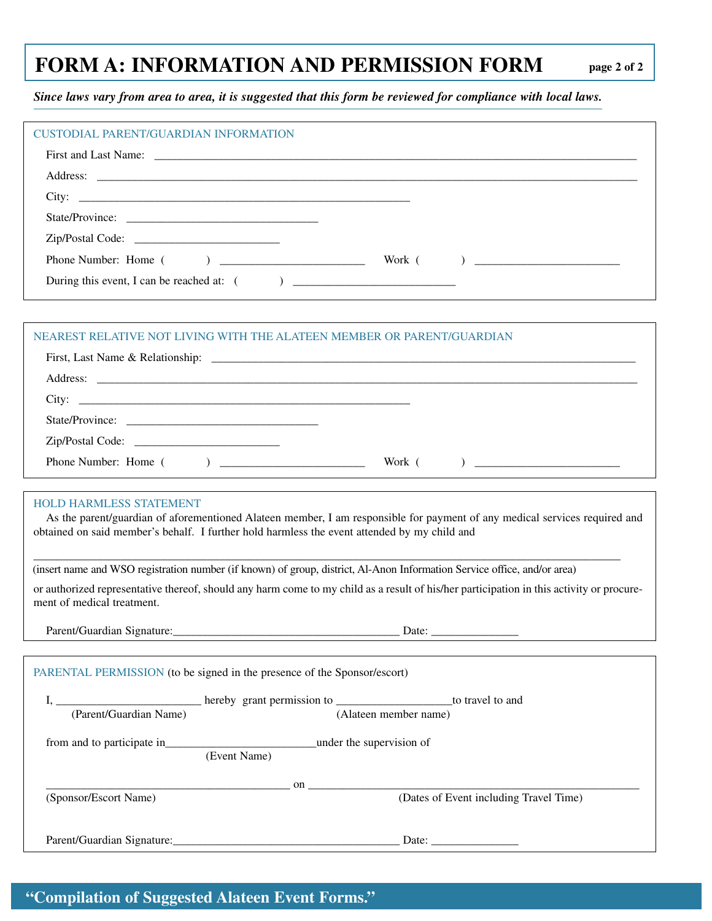# **FORM A: INFORMATION AND PERMISSION FORM**

*Since laws vary from area to area, it is suggested that this form be reviewed for compliance with local laws.*

| <b>CUSTODIAL PARENT/GUARDIAN INFORMATION</b>                                                                                                                                                                                                                 |
|--------------------------------------------------------------------------------------------------------------------------------------------------------------------------------------------------------------------------------------------------------------|
|                                                                                                                                                                                                                                                              |
| Address: <u>the contract of the contract of the contract of the contract of the contract of the contract of the contract of the contract of the contract of the contract of the contract of the contract of the contract of the </u>                         |
|                                                                                                                                                                                                                                                              |
|                                                                                                                                                                                                                                                              |
|                                                                                                                                                                                                                                                              |
|                                                                                                                                                                                                                                                              |
|                                                                                                                                                                                                                                                              |
|                                                                                                                                                                                                                                                              |
| NEAREST RELATIVE NOT LIVING WITH THE ALATEEN MEMBER OR PARENT/GUARDIAN                                                                                                                                                                                       |
|                                                                                                                                                                                                                                                              |
|                                                                                                                                                                                                                                                              |
|                                                                                                                                                                                                                                                              |
|                                                                                                                                                                                                                                                              |
|                                                                                                                                                                                                                                                              |
|                                                                                                                                                                                                                                                              |
|                                                                                                                                                                                                                                                              |
| <b>HOLD HARMLESS STATEMENT</b><br>As the parent/guardian of aforementioned Alateen member, I am responsible for payment of any medical services required and<br>obtained on said member's behalf. I further hold harmless the event attended by my child and |
| (insert name and WSO registration number (if known) of group, district, Al-Anon Information Service office, and/or area)                                                                                                                                     |
| or authorized representative thereof, should any harm come to my child as a result of his/her participation in this activity or procure-<br>ment of medical treatment.                                                                                       |
|                                                                                                                                                                                                                                                              |
|                                                                                                                                                                                                                                                              |
| PARENTAL PERMISSION (to be signed in the presence of the Sponsor/escort)                                                                                                                                                                                     |
|                                                                                                                                                                                                                                                              |
| I, <u>Channel</u> Constant Constant Constant Constant Constant Constant Constant Constant Constant Constant Constant Constant Constant Constant Constant Constant Constant Constant Constant Constant Constant Constant Constant Co                          |
|                                                                                                                                                                                                                                                              |
|                                                                                                                                                                                                                                                              |
|                                                                                                                                                                                                                                                              |
| $\sum_{(a,b) \in \mathbb{R}^3}$ on $\sum_{(a,b) \in \mathbb{R}^3}$ (Dates of Event including Travel Time)<br>(Sponsor/Escort Name)                                                                                                                           |
|                                                                                                                                                                                                                                                              |
| Parent/Guardian Signature: Date: Date: Date:                                                                                                                                                                                                                 |

# **"Compilation of Suggested Alateen Event Forms."**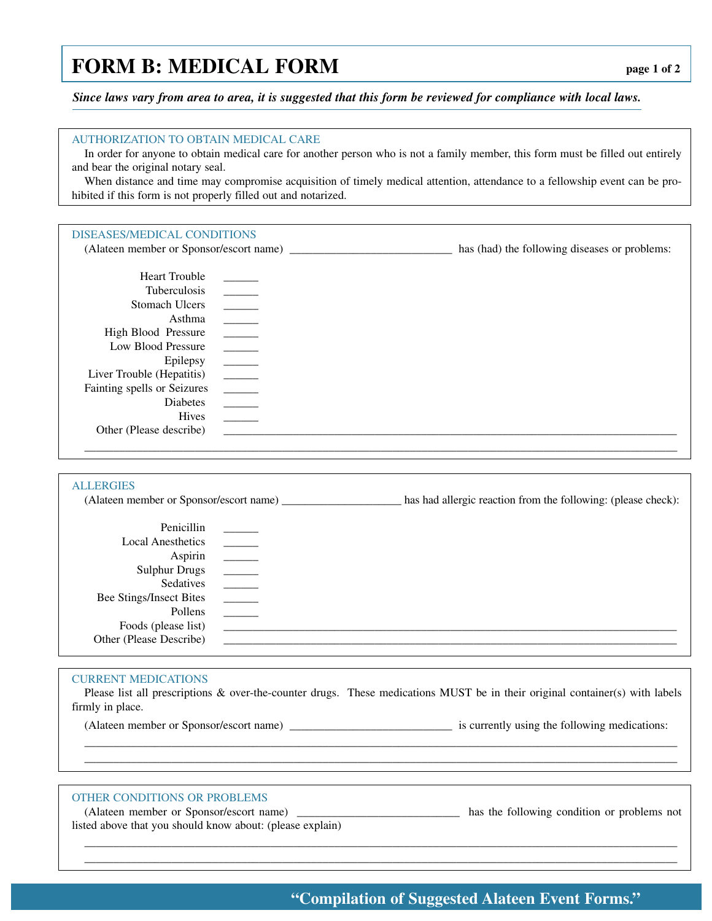# **FORM B: MEDICAL FORM**

*Since laws vary from area to area, it is suggested that this form be reviewed for compliance with local laws.*

| <b>AUTHORIZATION TO OBTAIN MEDICAL CARE</b><br>and bear the original notary seal.<br>hibited if this form is not properly filled out and notarized. |                          | In order for anyone to obtain medical care for another person who is not a family member, this form must be filled out entirely<br>When distance and time may compromise acquisition of timely medical attention, attendance to a fellowship event can be pro- |
|-----------------------------------------------------------------------------------------------------------------------------------------------------|--------------------------|----------------------------------------------------------------------------------------------------------------------------------------------------------------------------------------------------------------------------------------------------------------|
|                                                                                                                                                     |                          |                                                                                                                                                                                                                                                                |
|                                                                                                                                                     |                          |                                                                                                                                                                                                                                                                |
| DISEASES/MEDICAL CONDITIONS                                                                                                                         |                          |                                                                                                                                                                                                                                                                |
|                                                                                                                                                     |                          |                                                                                                                                                                                                                                                                |
| <b>Heart Trouble</b>                                                                                                                                |                          |                                                                                                                                                                                                                                                                |
| Tuberculosis                                                                                                                                        | $\overline{\phantom{a}}$ |                                                                                                                                                                                                                                                                |
| <b>Stomach Ulcers</b>                                                                                                                               |                          |                                                                                                                                                                                                                                                                |
| Asthma                                                                                                                                              | $\overline{\phantom{a}}$ |                                                                                                                                                                                                                                                                |
| High Blood Pressure                                                                                                                                 |                          |                                                                                                                                                                                                                                                                |
| Low Blood Pressure                                                                                                                                  |                          |                                                                                                                                                                                                                                                                |
| Epilepsy                                                                                                                                            |                          |                                                                                                                                                                                                                                                                |
| Liver Trouble (Hepatitis)                                                                                                                           |                          |                                                                                                                                                                                                                                                                |
| Fainting spells or Seizures                                                                                                                         | $\overline{\phantom{a}}$ |                                                                                                                                                                                                                                                                |
| Diabetes                                                                                                                                            |                          |                                                                                                                                                                                                                                                                |
| Hives                                                                                                                                               | $\overline{\phantom{a}}$ |                                                                                                                                                                                                                                                                |
| Other (Please describe)                                                                                                                             |                          |                                                                                                                                                                                                                                                                |
|                                                                                                                                                     |                          |                                                                                                                                                                                                                                                                |
|                                                                                                                                                     |                          |                                                                                                                                                                                                                                                                |
| <b>ALLERGIES</b>                                                                                                                                    |                          |                                                                                                                                                                                                                                                                |
|                                                                                                                                                     |                          | has had allergic reaction from the following: (please check):                                                                                                                                                                                                  |
|                                                                                                                                                     |                          |                                                                                                                                                                                                                                                                |
| Penicillin                                                                                                                                          |                          |                                                                                                                                                                                                                                                                |
| <b>Local Anesthetics</b>                                                                                                                            |                          |                                                                                                                                                                                                                                                                |
| Aspirin                                                                                                                                             |                          |                                                                                                                                                                                                                                                                |
| <b>Sulphur Drugs</b><br>Sedatives                                                                                                                   | $\overline{\phantom{a}}$ |                                                                                                                                                                                                                                                                |
| <b>Bee Stings/Insect Bites</b>                                                                                                                      | $\overline{\phantom{a}}$ |                                                                                                                                                                                                                                                                |
| Pollens                                                                                                                                             | $\overline{\phantom{a}}$ |                                                                                                                                                                                                                                                                |
| Foods (please list)                                                                                                                                 |                          |                                                                                                                                                                                                                                                                |
| Other (Please Describe)                                                                                                                             |                          |                                                                                                                                                                                                                                                                |
|                                                                                                                                                     |                          |                                                                                                                                                                                                                                                                |
|                                                                                                                                                     |                          |                                                                                                                                                                                                                                                                |
| <b>CURRENT MEDICATIONS</b>                                                                                                                          |                          | Please list all prescriptions & over-the-counter drugs. These medications MUST be in their original container(s) with labels                                                                                                                                   |
| firmly in place.                                                                                                                                    |                          |                                                                                                                                                                                                                                                                |
|                                                                                                                                                     |                          |                                                                                                                                                                                                                                                                |
|                                                                                                                                                     |                          |                                                                                                                                                                                                                                                                |
|                                                                                                                                                     |                          |                                                                                                                                                                                                                                                                |
|                                                                                                                                                     |                          |                                                                                                                                                                                                                                                                |
|                                                                                                                                                     |                          |                                                                                                                                                                                                                                                                |
| <b>OTHER CONDITIONS OR PROBLEMS</b>                                                                                                                 |                          |                                                                                                                                                                                                                                                                |
|                                                                                                                                                     |                          | (Alateen member or Sponsor/escort name) _________________________________ has the following condition or problems not                                                                                                                                          |
| listed above that you should know about: (please explain)                                                                                           |                          |                                                                                                                                                                                                                                                                |
|                                                                                                                                                     |                          |                                                                                                                                                                                                                                                                |
|                                                                                                                                                     |                          |                                                                                                                                                                                                                                                                |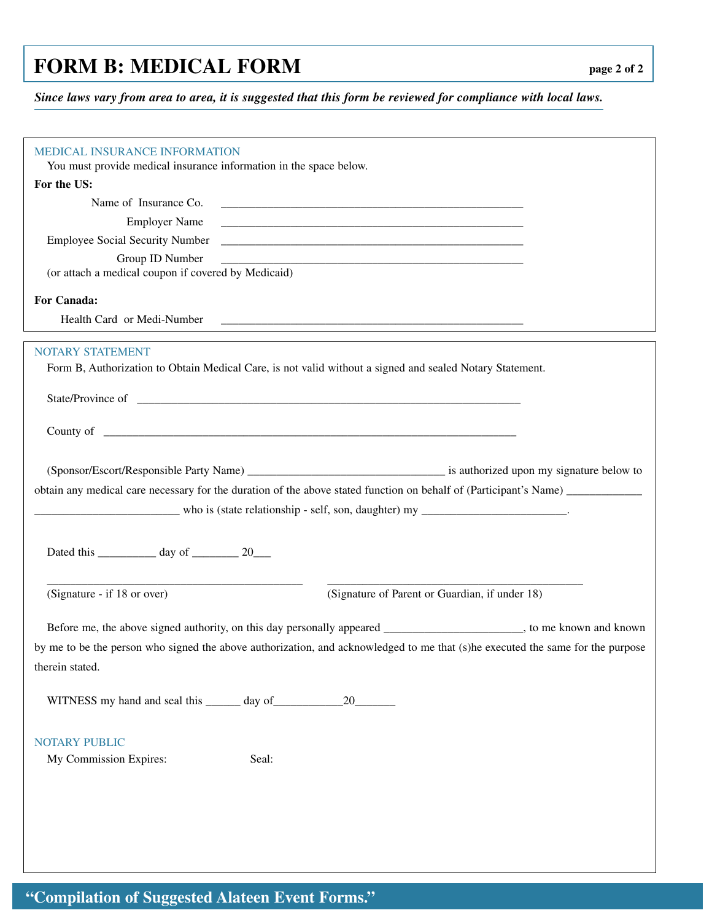# **FORM B: MEDICAL FORM**

*Since laws vary from area to area, it is suggested that this form be reviewed for compliance with local laws.*

| <b>MEDICAL INSURANCE INFORMATION</b>                               |                                                                                                                                                                                                                                |
|--------------------------------------------------------------------|--------------------------------------------------------------------------------------------------------------------------------------------------------------------------------------------------------------------------------|
| You must provide medical insurance information in the space below. |                                                                                                                                                                                                                                |
| For the US:                                                        |                                                                                                                                                                                                                                |
| Name of Insurance Co.                                              |                                                                                                                                                                                                                                |
| <b>Employer Name</b>                                               |                                                                                                                                                                                                                                |
|                                                                    |                                                                                                                                                                                                                                |
| Group ID Number                                                    |                                                                                                                                                                                                                                |
| (or attach a medical coupon if covered by Medicaid)                |                                                                                                                                                                                                                                |
|                                                                    |                                                                                                                                                                                                                                |
| For Canada:                                                        |                                                                                                                                                                                                                                |
| Health Card or Medi-Number                                         |                                                                                                                                                                                                                                |
|                                                                    |                                                                                                                                                                                                                                |
| <b>NOTARY STATEMENT</b>                                            |                                                                                                                                                                                                                                |
|                                                                    | Form B, Authorization to Obtain Medical Care, is not valid without a signed and sealed Notary Statement.                                                                                                                       |
|                                                                    |                                                                                                                                                                                                                                |
|                                                                    |                                                                                                                                                                                                                                |
|                                                                    |                                                                                                                                                                                                                                |
|                                                                    | County of country of country of country of country of country of country of country of country of country of country of country of country of country of country of country of country of country of country of country of cou |
|                                                                    |                                                                                                                                                                                                                                |
|                                                                    |                                                                                                                                                                                                                                |
|                                                                    | obtain any medical care necessary for the duration of the above stated function on behalf of (Participant's Name)                                                                                                              |
|                                                                    |                                                                                                                                                                                                                                |
|                                                                    |                                                                                                                                                                                                                                |
|                                                                    |                                                                                                                                                                                                                                |
|                                                                    |                                                                                                                                                                                                                                |
| Dated this ______________ day of ___________ 20____                |                                                                                                                                                                                                                                |
|                                                                    |                                                                                                                                                                                                                                |
|                                                                    |                                                                                                                                                                                                                                |
| (Signature - if 18 or over)                                        | (Signature of Parent or Guardian, if under 18)                                                                                                                                                                                 |
|                                                                    |                                                                                                                                                                                                                                |
|                                                                    | Before me, the above signed authority, on this day personally appeared _____________________, to me known and known                                                                                                            |
|                                                                    | by me to be the person who signed the above authorization, and acknowledged to me that (s)he executed the same for the purpose                                                                                                 |
| therein stated.                                                    |                                                                                                                                                                                                                                |
|                                                                    |                                                                                                                                                                                                                                |
|                                                                    | 20                                                                                                                                                                                                                             |
|                                                                    |                                                                                                                                                                                                                                |
| <b>NOTARY PUBLIC</b>                                               |                                                                                                                                                                                                                                |
| My Commission Expires:                                             | Seal:                                                                                                                                                                                                                          |
|                                                                    |                                                                                                                                                                                                                                |
|                                                                    |                                                                                                                                                                                                                                |
|                                                                    |                                                                                                                                                                                                                                |
|                                                                    |                                                                                                                                                                                                                                |
|                                                                    |                                                                                                                                                                                                                                |
|                                                                    |                                                                                                                                                                                                                                |

# **"Compilation of Suggested Alateen Event Forms."**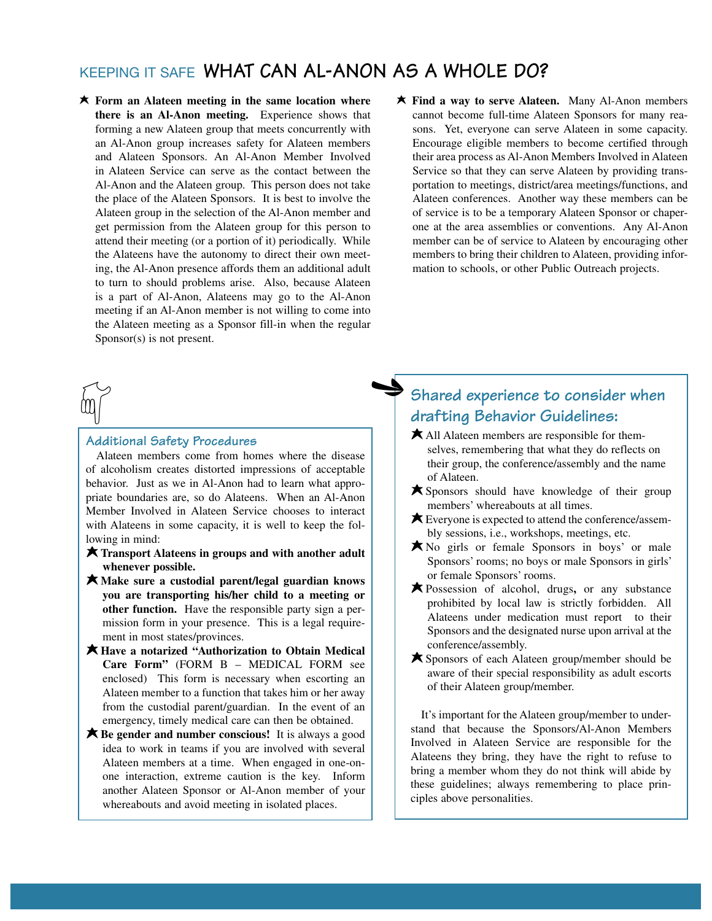## KEEPING IT SAFE **WHAT CAN AL-ANON AS A WHOLE DO?**

 $\blacklozenge$ 

- **★ Form an Alateen meeting in the same location where there is an Al-Anon meeting.** Experience shows that forming a new Alateen group that meets concurrently with an Al-Anon group increases safety for Alateen members and Alateen Sponsors. An Al-Anon Member Involved in Alateen Service can serve as the contact between the Al-Anon and the Alateen group. This person does not take the place of the Alateen Sponsors. It is best to involve the Alateen group in the selection of the Al-Anon member and get permission from the Alateen group for this person to attend their meeting (or a portion of it) periodically. While the Alateens have the autonomy to direct their own meeting, the Al-Anon presence affords them an additional adult to turn to should problems arise. Also, because Alateen is a part of Al-Anon, Alateens may go to the Al-Anon meeting if an Al-Anon member is not willing to come into the Alateen meeting as a Sponsor fill-in when the regular Sponsor(s) is not present.
- $\widetilde{\mathbb{Q}}$

### **Additional Safety Procedures**

Alateen members come from homes where the disease of alcoholism creates distorted impressions of acceptable behavior. Just as we in Al-Anon had to learn what appropriate boundaries are, so do Alateens. When an Al-Anon Member Involved in Alateen Service chooses to interact with Alateens in some capacity, it is well to keep the following in mind:

- M**Transport Alateens in groups and with another adult whenever possible.**
- M**Make sure a custodial parent/legal guardian knows you are transporting his/her child to a meeting or other function.** Have the responsible party sign a permission form in your presence. This is a legal requirement in most states/provinces.
- M**Have a notarized "Authorization to Obtain Medical Care Form"** (FORM B – MEDICAL FORM see enclosed) This form is necessary when escorting an Alateen member to a function that takes him or her away from the custodial parent/guardian. In the event of an emergency, timely medical care can then be obtained.
- **★ Be gender and number conscious!** It is always a good idea to work in teams if you are involved with several Alateen members at a time. When engaged in one-onone interaction, extreme caution is the key. Inform another Alateen Sponsor or Al-Anon member of your whereabouts and avoid meeting in isolated places.

**★ Find a way to serve Alateen.** Many Al-Anon members cannot become full-time Alateen Sponsors for many reasons. Yet, everyone can serve Alateen in some capacity. Encourage eligible members to become certified through their area process as Al-Anon Members Involved in Alateen Service so that they can serve Alateen by providing transportation to meetings, district/area meetings/functions, and Alateen conferences. Another way these members can be of service is to be a temporary Alateen Sponsor or chaperone at the area assemblies or conventions. Any Al-Anon member can be of service to Alateen by encouraging other members to bring their children to Alateen, providing information to schools, or other Public Outreach projects.

### **Shared experience to consider when drafting Behavior Guidelines:**

- $\star$  All Alateen members are responsible for themselves, remembering that what they do reflects on their group, the conference/assembly and the name of Alateen.
- MSponsors should have knowledge of their group members' whereabouts at all times.
- $\bigstar$  Everyone is expected to attend the conference/assembly sessions, i.e., workshops, meetings, etc.
- MNo girls or female Sponsors in boys' or male Sponsors' rooms; no boys or male Sponsors in girls' or female Sponsors' rooms.
- MPossession of alcohol, drugs**,** or any substance prohibited by local law is strictly forbidden. All Alateens under medication must report to their Sponsors and the designated nurse upon arrival at the conference/assembly.
- ★ Sponsors of each Alateen group/member should be aware of their special responsibility as adult escorts of their Alateen group/member.

It's important for the Alateen group/member to understand that because the Sponsors/Al-Anon Members Involved in Alateen Service are responsible for the Alateens they bring, they have the right to refuse to bring a member whom they do not think will abide by these guidelines; always remembering to place principles above personalities.